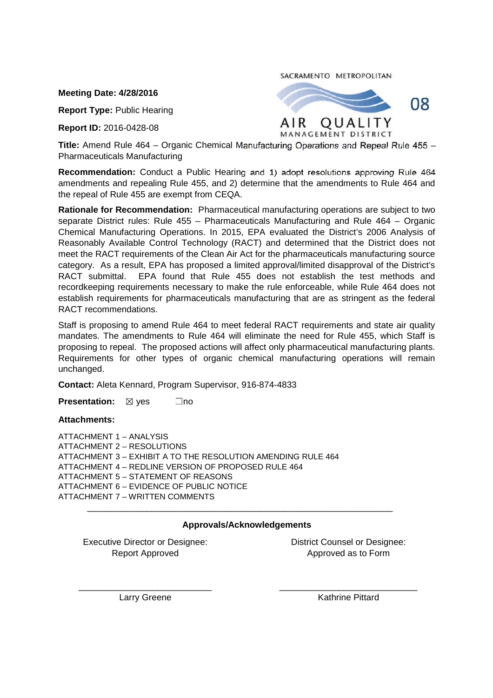**Meeting Date: 4/28/2016**

**Report Type:** Public Hearing

**Report ID:** 2016-0428-08

SACRAMENTO METROPOLITAN



**Title:** Amend Rule 464 – Organic Chemical Manufacturing Operations and Repeal Rule 455 – Pharmaceuticals Manufacturing

**Recommendation:** Conduct a Public Hearing and 1) adopt resolutions approving Rule 464 amendments and repealing Rule 455, and 2) determine that the amendments to Rule 464 and the repeal of Rule 455 are exempt from CEQA.

**Rationale for Recommendation:** Pharmaceutical manufacturing operations are subject to two separate District rules: Rule 455 – Pharmaceuticals Manufacturing and Rule 464 – Organic Chemical Manufacturing Operations. In 2015, EPA evaluated the District's 2006 Analysis of Reasonably Available Control Technology (RACT) and determined that the District does not meet the RACT requirements of the Clean Air Act for the pharmaceuticals manufacturing source category. As a result, EPA has proposed a limited approval/limited disapproval of the District's RACT submittal. EPA found that Rule 455 does not establish the test methods and recordkeeping requirements necessary to make the rule enforceable, while Rule 464 does not establish requirements for pharmaceuticals manufacturing that are as stringent as the federal RACT recommendations.

Staff is proposing to amend Rule 464 to meet federal RACT requirements and state air quality mandates. The amendments to Rule 464 will eliminate the need for Rule 455, which Staff is proposing to repeal. The proposed actions will affect only pharmaceutical manufacturing plants. Requirements for other types of organic chemical manufacturing operations will remain unchanged.

**Contact:** Aleta Kennard, Program Supervisor, 916-874-4833

**Presentation:**  $\boxtimes$  yes  $\Box$ no

## **Attachments:**

ATTACHMENT 1 – ANALYSIS ATTACHMENT 2 – RESOLUTIONS ATTACHMENT 3 – EXHIBIT A TO THE RESOLUTION AMENDING RULE 464 ATTACHMENT 4 – REDLINE VERSION OF PROPOSED RULE 464 ATTACHMENT 5 – STATEMENT OF REASONS ATTACHMENT 6 – EVIDENCE OF PUBLIC NOTICE ATTACHMENT 7 – WRITTEN COMMENTS \_\_\_\_\_\_\_\_\_\_\_\_\_\_\_\_\_\_\_\_\_\_\_\_\_\_\_\_\_\_\_\_\_\_\_\_\_\_\_\_\_\_\_\_\_\_\_\_\_\_\_\_\_\_\_\_\_\_\_\_\_\_

# **Approvals/Acknowledgements**

Executive Director or Designee: Report Approved

District Counsel or Designee: Approved as to Form

\_\_\_\_\_\_\_\_\_\_\_\_\_\_\_\_\_\_\_\_\_\_\_\_\_\_\_ Larry Greene

\_\_\_\_\_\_\_\_\_\_\_\_\_\_\_\_\_\_\_\_\_\_\_\_\_\_\_\_ Kathrine Pittard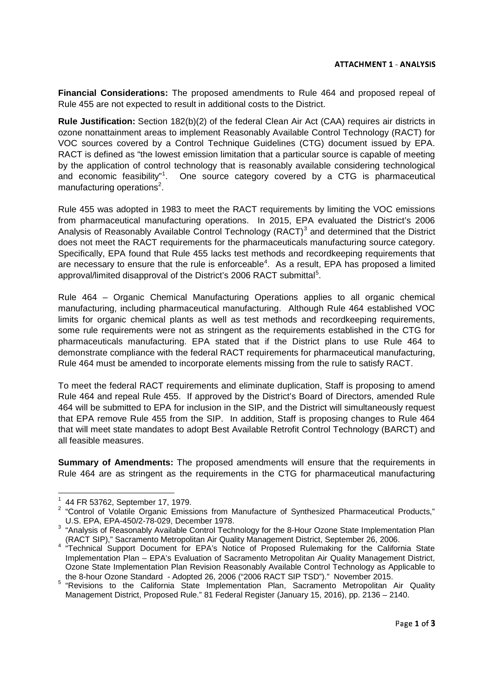**Financial Considerations:** The proposed amendments to Rule 464 and proposed repeal of Rule 455 are not expected to result in additional costs to the District.

**Rule Justification:** Section 182(b)(2) of the federal Clean Air Act (CAA) requires air districts in ozone nonattainment areas to implement Reasonably Available Control Technology (RACT) for VOC sources covered by a Control Technique Guidelines (CTG) document issued by EPA. RACT is defined as "the lowest emission limitation that a particular source is capable of meeting by the application of control technology that is reasonably available considering technological and economic feasibility"<sup>1</sup>. One source category covered by a CTG is pharmaceutical manufacturing operations<sup>2</sup>.

Rule 455 was adopted in 1983 to meet the RACT requirements by limiting the VOC emissions from pharmaceutical manufacturing operations. In 2015, EPA evaluated the District's 2006 Analysis of Reasonably Available Control Technology (RACT)<sup>3</sup> and determined that the District does not meet the RACT requirements for the pharmaceuticals manufacturing source category. Specifically, EPA found that Rule 455 lacks test methods and recordkeeping requirements that are necessary to ensure that the rule is enforceable<sup>4</sup>. As a result, EPA has proposed a limited approval/limited disapproval of the District's 2006 RACT submittal<sup>5</sup>.

Rule 464 – Organic Chemical Manufacturing Operations applies to all organic chemical manufacturing, including pharmaceutical manufacturing. Although Rule 464 established VOC limits for organic chemical plants as well as test methods and recordkeeping requirements, some rule requirements were not as stringent as the requirements established in the CTG for pharmaceuticals manufacturing. EPA stated that if the District plans to use Rule 464 to demonstrate compliance with the federal RACT requirements for pharmaceutical manufacturing, Rule 464 must be amended to incorporate elements missing from the rule to satisfy RACT.

To meet the federal RACT requirements and eliminate duplication, Staff is proposing to amend Rule 464 and repeal Rule 455. If approved by the District's Board of Directors, amended Rule 464 will be submitted to EPA for inclusion in the SIP, and the District will simultaneously request that EPA remove Rule 455 from the SIP. In addition, Staff is proposing changes to Rule 464 that will meet state mandates to adopt Best Available Retrofit Control Technology (BARCT) and all feasible measures.

**Summary of Amendments:** The proposed amendments will ensure that the requirements in Rule 464 are as stringent as the requirements in the CTG for pharmaceutical manufacturing

<sup>1</sup> 44 FR 53762, September 17, 1979.

<sup>&</sup>lt;sup>2</sup> "Control of Volatile Organic Emissions from Manufacture of Synthesized Pharmaceutical Products," U.S. EPA, EPA-450/2-78-029, December 1978.

 $3$  "Analysis of Reasonably Available Control Technology for the 8-Hour Ozone State Implementation Plan

<sup>(</sup>RACT SIP)," Sacramento Metropolitan Air Quality Management District, September 26, 2006. 4 "Technical Support Document for EPA's Notice of Proposed Rulemaking for the California State Implementation Plan – EPA's Evaluation of Sacramento Metropolitan Air Quality Management District, Ozone State Implementation Plan Revision Reasonably Available Control Technology as Applicable to the 8-hour Ozone Standard - Adopted 26, 2006 ("2006 RACT SIP TSD")." November 2015.

<sup>&</sup>lt;sup>5</sup> "Revisions to the California State Implementation Plan, Sacramento Metropolitan Air Quality Management District, Proposed Rule." 81 Federal Register (January 15, 2016), pp. 2136 – 2140.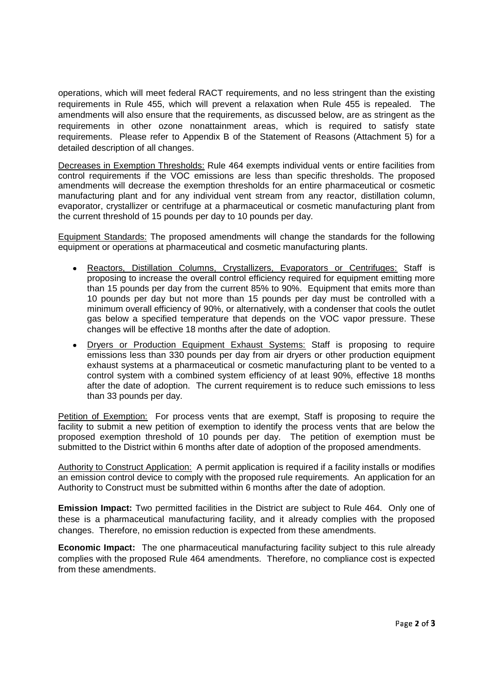operations, which will meet federal RACT requirements, and no less stringent than the existing requirements in Rule 455, which will prevent a relaxation when Rule 455 is repealed. The amendments will also ensure that the requirements, as discussed below, are as stringent as the requirements in other ozone nonattainment areas, which is required to satisfy state requirements. Please refer to Appendix B of the Statement of Reasons (Attachment 5) for a detailed description of all changes.

Decreases in Exemption Thresholds: Rule 464 exempts individual vents or entire facilities from control requirements if the VOC emissions are less than specific thresholds. The proposed amendments will decrease the exemption thresholds for an entire pharmaceutical or cosmetic manufacturing plant and for any individual vent stream from any reactor, distillation column, evaporator, crystallizer or centrifuge at a pharmaceutical or cosmetic manufacturing plant from the current threshold of 15 pounds per day to 10 pounds per day.

Equipment Standards: The proposed amendments will change the standards for the following equipment or operations at pharmaceutical and cosmetic manufacturing plants.

- Reactors, Distillation Columns, Crystallizers, Evaporators or Centrifuges: Staff is proposing to increase the overall control efficiency required for equipment emitting more than 15 pounds per day from the current 85% to 90%. Equipment that emits more than 10 pounds per day but not more than 15 pounds per day must be controlled with a minimum overall efficiency of 90%, or alternatively, with a condenser that cools the outlet gas below a specified temperature that depends on the VOC vapor pressure. These changes will be effective 18 months after the date of adoption.
- Dryers or Production Equipment Exhaust Systems: Staff is proposing to require emissions less than 330 pounds per day from air dryers or other production equipment exhaust systems at a pharmaceutical or cosmetic manufacturing plant to be vented to a control system with a combined system efficiency of at least 90%, effective 18 months after the date of adoption. The current requirement is to reduce such emissions to less than 33 pounds per day.

Petition of Exemption: For process vents that are exempt, Staff is proposing to require the facility to submit a new petition of exemption to identify the process vents that are below the proposed exemption threshold of 10 pounds per day. The petition of exemption must be submitted to the District within 6 months after date of adoption of the proposed amendments.

Authority to Construct Application: A permit application is required if a facility installs or modifies an emission control device to comply with the proposed rule requirements. An application for an Authority to Construct must be submitted within 6 months after the date of adoption.

**Emission Impact:** Two permitted facilities in the District are subject to Rule 464. Only one of these is a pharmaceutical manufacturing facility, and it already complies with the proposed changes. Therefore, no emission reduction is expected from these amendments.

**Economic Impact:** The one pharmaceutical manufacturing facility subject to this rule already complies with the proposed Rule 464 amendments. Therefore, no compliance cost is expected from these amendments.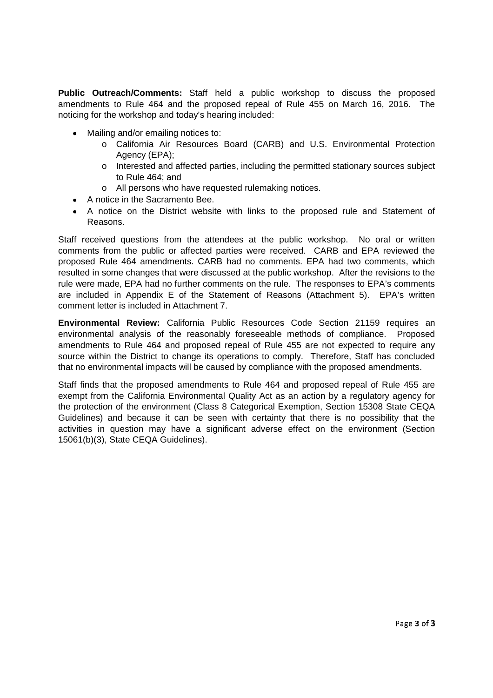**Public Outreach/Comments:** Staff held a public workshop to discuss the proposed amendments to Rule 464 and the proposed repeal of Rule 455 on March 16, 2016. The noticing for the workshop and today's hearing included:

- Mailing and/or emailing notices to:
	- o California Air Resources Board (CARB) and U.S. Environmental Protection Agency (EPA);
	- o Interested and affected parties, including the permitted stationary sources subject to Rule 464; and
	- o All persons who have requested rulemaking notices.
- A notice in the Sacramento Bee.
- A notice on the District website with links to the proposed rule and Statement of Reasons.

Staff received questions from the attendees at the public workshop. No oral or written comments from the public or affected parties were received. CARB and EPA reviewed the proposed Rule 464 amendments. CARB had no comments. EPA had two comments, which resulted in some changes that were discussed at the public workshop. After the revisions to the rule were made, EPA had no further comments on the rule. The responses to EPA's comments are included in Appendix E of the Statement of Reasons (Attachment 5). EPA's written comment letter is included in Attachment 7.

**Environmental Review:** California Public Resources Code Section 21159 requires an environmental analysis of the reasonably foreseeable methods of compliance. Proposed amendments to Rule 464 and proposed repeal of Rule 455 are not expected to require any source within the District to change its operations to comply. Therefore, Staff has concluded that no environmental impacts will be caused by compliance with the proposed amendments.

Staff finds that the proposed amendments to Rule 464 and proposed repeal of Rule 455 are exempt from the California Environmental Quality Act as an action by a regulatory agency for the protection of the environment (Class 8 Categorical Exemption, Section 15308 State CEQA Guidelines) and because it can be seen with certainty that there is no possibility that the activities in question may have a significant adverse effect on the environment (Section 15061(b)(3), State CEQA Guidelines).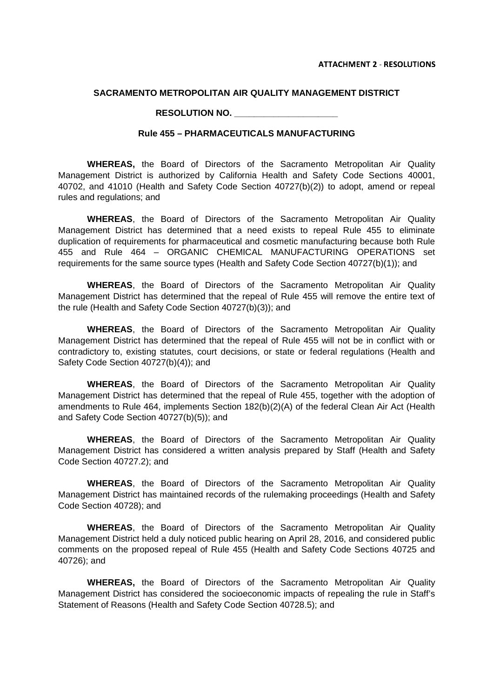### **SACRAMENTO METROPOLITAN AIR QUALITY MANAGEMENT DISTRICT**

#### **RESOLUTION NO. \_\_\_\_\_\_\_\_\_\_\_\_\_\_\_\_\_\_\_\_\_**

### **Rule 455 – PHARMACEUTICALS MANUFACTURING**

**WHEREAS,** the Board of Directors of the Sacramento Metropolitan Air Quality Management District is authorized by California Health and Safety Code Sections 40001, 40702, and 41010 (Health and Safety Code Section 40727(b)(2)) to adopt, amend or repeal rules and regulations; and

**WHEREAS**, the Board of Directors of the Sacramento Metropolitan Air Quality Management District has determined that a need exists to repeal Rule 455 to eliminate duplication of requirements for pharmaceutical and cosmetic manufacturing because both Rule 455 and Rule 464 – ORGANIC CHEMICAL MANUFACTURING OPERATIONS set requirements for the same source types (Health and Safety Code Section 40727(b)(1)); and

**WHEREAS**, the Board of Directors of the Sacramento Metropolitan Air Quality Management District has determined that the repeal of Rule 455 will remove the entire text of the rule (Health and Safety Code Section 40727(b)(3)); and

**WHEREAS**, the Board of Directors of the Sacramento Metropolitan Air Quality Management District has determined that the repeal of Rule 455 will not be in conflict with or contradictory to, existing statutes, court decisions, or state or federal regulations (Health and Safety Code Section 40727(b)(4)); and

**WHEREAS**, the Board of Directors of the Sacramento Metropolitan Air Quality Management District has determined that the repeal of Rule 455, together with the adoption of amendments to Rule 464, implements Section 182(b)(2)(A) of the federal Clean Air Act (Health and Safety Code Section 40727(b)(5)); and

**WHEREAS**, the Board of Directors of the Sacramento Metropolitan Air Quality Management District has considered a written analysis prepared by Staff (Health and Safety Code Section 40727.2); and

**WHEREAS**, the Board of Directors of the Sacramento Metropolitan Air Quality Management District has maintained records of the rulemaking proceedings (Health and Safety Code Section 40728); and

**WHEREAS**, the Board of Directors of the Sacramento Metropolitan Air Quality Management District held a duly noticed public hearing on April 28, 2016, and considered public comments on the proposed repeal of Rule 455 (Health and Safety Code Sections 40725 and 40726); and

**WHEREAS,** the Board of Directors of the Sacramento Metropolitan Air Quality Management District has considered the socioeconomic impacts of repealing the rule in Staff's Statement of Reasons (Health and Safety Code Section 40728.5); and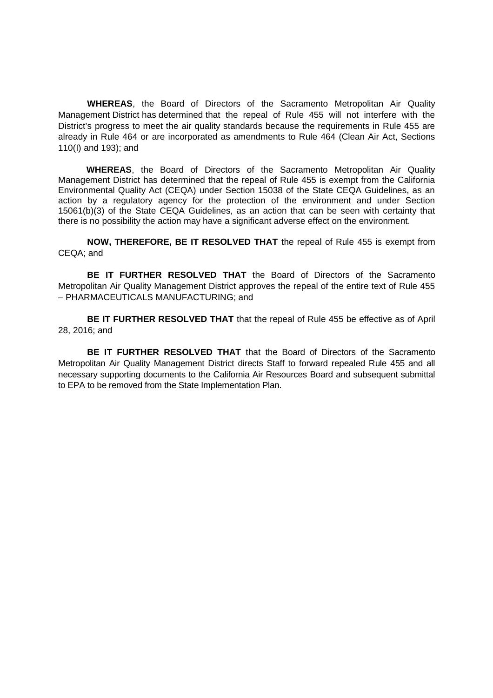**WHEREAS**, the Board of Directors of the Sacramento Metropolitan Air Quality Management District has determined that the repeal of Rule 455 will not interfere with the District's progress to meet the air quality standards because the requirements in Rule 455 are already in Rule 464 or are incorporated as amendments to Rule 464 (Clean Air Act, Sections 110(I) and 193); and

**WHEREAS**, the Board of Directors of the Sacramento Metropolitan Air Quality Management District has determined that the repeal of Rule 455 is exempt from the California Environmental Quality Act (CEQA) under Section 15038 of the State CEQA Guidelines, as an action by a regulatory agency for the protection of the environment and under Section 15061(b)(3) of the State CEQA Guidelines, as an action that can be seen with certainty that there is no possibility the action may have a significant adverse effect on the environment.

**NOW, THEREFORE, BE IT RESOLVED THAT** the repeal of Rule 455 is exempt from CEQA; and

**BE IT FURTHER RESOLVED THAT** the Board of Directors of the Sacramento Metropolitan Air Quality Management District approves the repeal of the entire text of Rule 455 – PHARMACEUTICALS MANUFACTURING; and

**BE IT FURTHER RESOLVED THAT** that the repeal of Rule 455 be effective as of April 28, 2016; and

**BE IT FURTHER RESOLVED THAT** that the Board of Directors of the Sacramento Metropolitan Air Quality Management District directs Staff to forward repealed Rule 455 and all necessary supporting documents to the California Air Resources Board and subsequent submittal to EPA to be removed from the State Implementation Plan.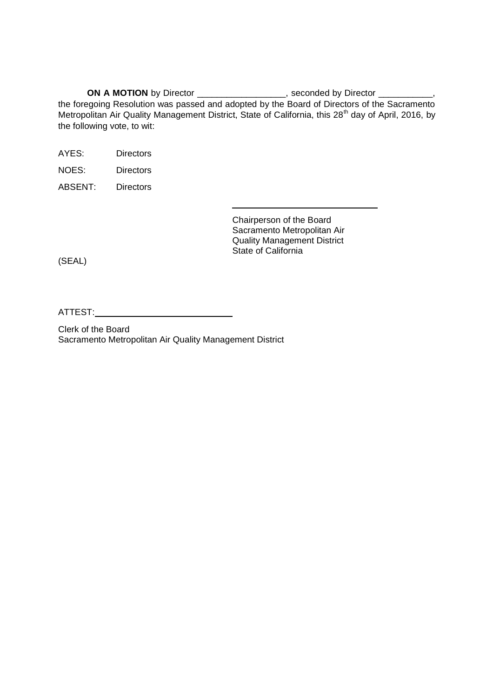**ON A MOTION** by Director \_\_\_\_\_\_\_\_\_\_\_\_\_\_\_\_\_, seconded by Director \_\_\_\_\_\_\_\_\_\_, the foregoing Resolution was passed and adopted by the Board of Directors of the Sacramento Metropolitan Air Quality Management District, State of California, this 28<sup>th</sup> day of April, 2016, by the following vote, to wit:

AYES: Directors

NOES: Directors

ABSENT: Directors

Chairperson of the Board Sacramento Metropolitan Air Quality Management District State of California

(SEAL)

ATTEST:

Clerk of the Board Sacramento Metropolitan Air Quality Management District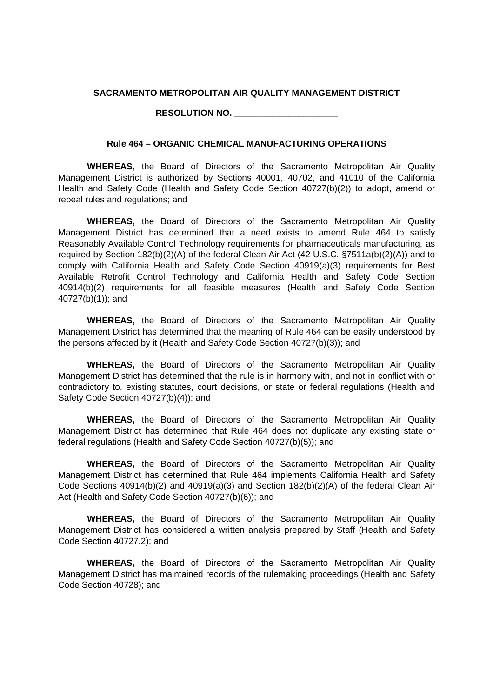## **SACRAMENTO METROPOLITAN AIR QUALITY MANAGEMENT DISTRICT**

**RESOLUTION NO. \_\_\_\_\_\_\_\_\_\_\_\_\_\_\_\_\_\_\_\_\_**

## **Rule 464 – ORGANIC CHEMICAL MANUFACTURING OPERATIONS**

**WHEREAS**, the Board of Directors of the Sacramento Metropolitan Air Quality Management District is authorized by Sections 40001, 40702, and 41010 of the California Health and Safety Code (Health and Safety Code Section 40727(b)(2)) to adopt, amend or repeal rules and regulations; and

**WHEREAS,** the Board of Directors of the Sacramento Metropolitan Air Quality Management District has determined that a need exists to amend Rule 464 to satisfy Reasonably Available Control Technology requirements for pharmaceuticals manufacturing, as required by Section 182(b)(2)(A) of the federal Clean Air Act (42 U.S.C. §7511a(b)(2)(A)) and to comply with California Health and Safety Code Section 40919(a)(3) requirements for Best Available Retrofit Control Technology and California Health and Safety Code Section 40914(b)(2) requirements for all feasible measures (Health and Safety Code Section 40727(b)(1)); and

**WHEREAS,** the Board of Directors of the Sacramento Metropolitan Air Quality Management District has determined that the meaning of Rule 464 can be easily understood by the persons affected by it (Health and Safety Code Section 40727(b)(3)); and

**WHEREAS,** the Board of Directors of the Sacramento Metropolitan Air Quality Management District has determined that the rule is in harmony with, and not in conflict with or contradictory to, existing statutes, court decisions, or state or federal regulations (Health and Safety Code Section 40727(b)(4)); and

**WHEREAS,** the Board of Directors of the Sacramento Metropolitan Air Quality Management District has determined that Rule 464 does not duplicate any existing state or federal regulations (Health and Safety Code Section 40727(b)(5)); and

**WHEREAS,** the Board of Directors of the Sacramento Metropolitan Air Quality Management District has determined that Rule 464 implements California Health and Safety Code Sections 40914(b)(2) and 40919(a)(3) and Section 182(b)(2)(A) of the federal Clean Air Act (Health and Safety Code Section 40727(b)(6)); and

**WHEREAS,** the Board of Directors of the Sacramento Metropolitan Air Quality Management District has considered a written analysis prepared by Staff (Health and Safety Code Section 40727.2); and

**WHEREAS,** the Board of Directors of the Sacramento Metropolitan Air Quality Management District has maintained records of the rulemaking proceedings (Health and Safety Code Section 40728); and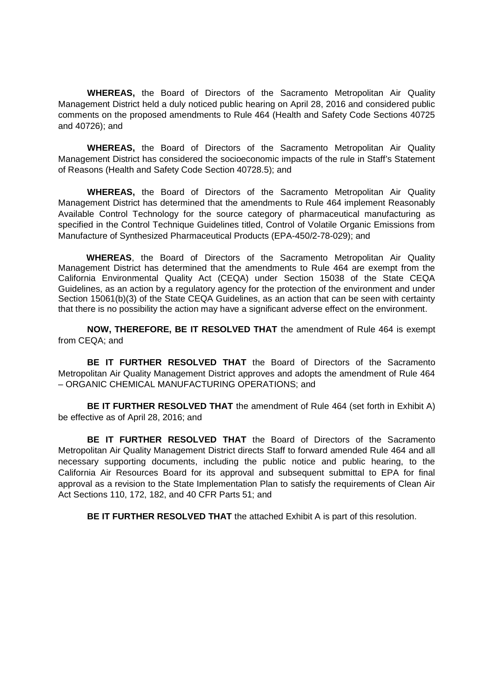**WHEREAS,** the Board of Directors of the Sacramento Metropolitan Air Quality Management District held a duly noticed public hearing on April 28, 2016 and considered public comments on the proposed amendments to Rule 464 (Health and Safety Code Sections 40725 and 40726); and

**WHEREAS,** the Board of Directors of the Sacramento Metropolitan Air Quality Management District has considered the socioeconomic impacts of the rule in Staff's Statement of Reasons (Health and Safety Code Section 40728.5); and

**WHEREAS,** the Board of Directors of the Sacramento Metropolitan Air Quality Management District has determined that the amendments to Rule 464 implement Reasonably Available Control Technology for the source category of pharmaceutical manufacturing as specified in the Control Technique Guidelines titled, Control of Volatile Organic Emissions from Manufacture of Synthesized Pharmaceutical Products (EPA-450/2-78-029); and

**WHEREAS**, the Board of Directors of the Sacramento Metropolitan Air Quality Management District has determined that the amendments to Rule 464 are exempt from the California Environmental Quality Act (CEQA) under Section 15038 of the State CEQA Guidelines, as an action by a regulatory agency for the protection of the environment and under Section 15061(b)(3) of the State CEQA Guidelines, as an action that can be seen with certainty that there is no possibility the action may have a significant adverse effect on the environment.

**NOW, THEREFORE, BE IT RESOLVED THAT** the amendment of Rule 464 is exempt from CEQA; and

**BE IT FURTHER RESOLVED THAT** the Board of Directors of the Sacramento Metropolitan Air Quality Management District approves and adopts the amendment of Rule 464 – ORGANIC CHEMICAL MANUFACTURING OPERATIONS; and

**BE IT FURTHER RESOLVED THAT** the amendment of Rule 464 (set forth in Exhibit A) be effective as of April 28, 2016; and

**BE IT FURTHER RESOLVED THAT** the Board of Directors of the Sacramento Metropolitan Air Quality Management District directs Staff to forward amended Rule 464 and all necessary supporting documents, including the public notice and public hearing, to the California Air Resources Board for its approval and subsequent submittal to EPA for final approval as a revision to the State Implementation Plan to satisfy the requirements of Clean Air Act Sections 110, 172, 182, and 40 CFR Parts 51; and

**BE IT FURTHER RESOLVED THAT** the attached Exhibit A is part of this resolution.